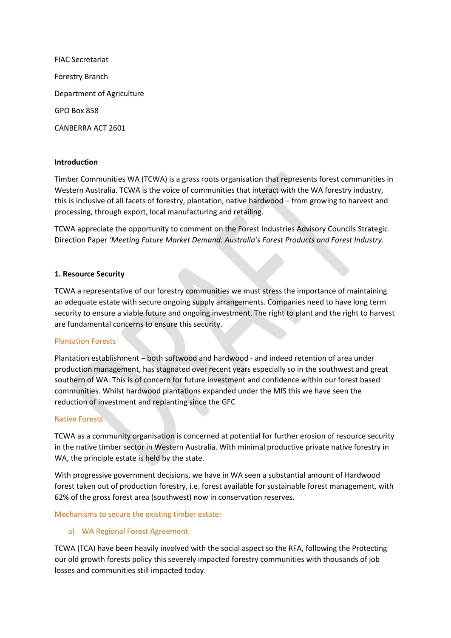FIAC Secretariat Forestry Branch Department of Agriculture GPO Box 858 CANBERRA ACT 2601

## **Introduction**

Timber Communities WA (TCWA) is a grass roots organisation that represents forest communities in Western Australia. TCWA is the voice of communities that interact with the WA forestry industry, this is inclusive of all facets of forestry, plantation, native hardwood – from growing to harvest and processing, through export, local manufacturing and retailing.

TCWA appreciate the opportunity to comment on the Forest Industries Advisory Councils Strategic Direction Paper *'Meeting Future Market Demand: Australia's Forest Products and Forest Industry.* 

#### **1. Resource Security**

TCWA a representative of our forestry communities we must stress the importance of maintaining an adequate estate with secure ongoing supply arrangements. Companies need to have long term security to ensure a viable future and ongoing investment. The right to plant and the right to harvest are fundamental concerns to ensure this security.

#### Plantation Forests

Plantation establishment – both softwood and hardwood - and indeed retention of area under production management, has stagnated over recent years especially so in the southwest and great southern of WA. This is of concern for future investment and confidence within our forest based communities. Whilst hardwood plantations expanded under the MIS this we have seen the reduction of investment and replanting since the GFC

#### Native Forests

TCWA as a community organisation is concerned at potential for further erosion of resource security in the native timber sector in Western Australia. With minimal productive private native forestry in WA, the principle estate is held by the state.

With progressive government decisions, we have in WA seen a substantial amount of Hardwood forest taken out of production forestry, i.e. forest available for sustainable forest management, with 62% of the gross forest area (southwest) now in conservation reserves.

#### Mechanisms to secure the existing timber estate:

#### a) WA Regional Forest Agreement

TCWA (TCA) have been heavily involved with the social aspect so the RFA, following the Protecting our old growth forests policy this severely impacted forestry communities with thousands of job losses and communities still impacted today.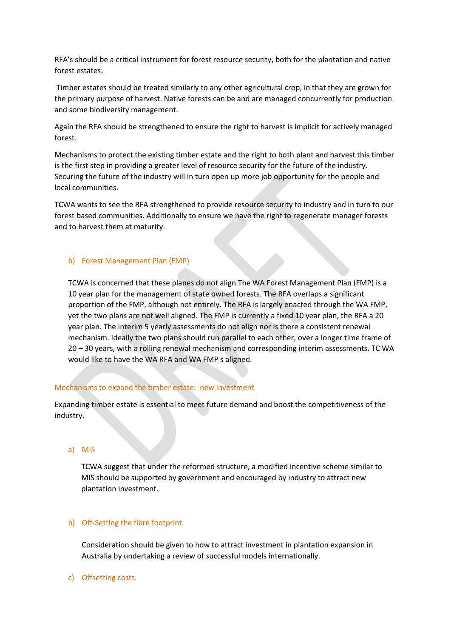RFA's should be a critical instrument for forest resource security, both for the plantation and native forest estates.

Timber estates should be treated similarly to any other agricultural crop, in that they are grown for the primary purpose of harvest. Native forests can be and are managed concurrently for production and some biodiversity management.

Again the RFA should be strengthened to ensure the right to harvest is implicit for actively managed forest.

Mechanisms to protect the existing timber estate and the right to both plant and harvest this timber is the first step in providing a greater level of resource security for the future of the industry. Securing the future of the industry will in turn open up more job opportunity for the people and local communities.

TCWA wants to see the RFA strengthened to provide resource security to industry and in turn to our forest based communities. Additionally to ensure we have the right to regenerate manager forests and to harvest them at maturity.

#### b) Forest Management Plan (FMP)

TCWA is concerned that these planes do not align The WA Forest Management Plan (FMP) is a 10 year plan for the management of state owned forests. The RFA overlaps a significant proportion of the FMP, although not entirely. The RFA is largely enacted through the WA FMP, yet the two plans are not well aligned. The FMP is currently a fixed 10 year plan, the RFA a 20 year plan. The interim 5 yearly assessments do not align nor is there a consistent renewal mechanism. Ideally the two plans should run parallel to each other, over a longer time frame of 20 – 30 years, with a rolling renewal mechanism and corresponding interim assessments. TC WA would like to have the WA RFA and WA FMP s aligned.

#### Mechanisms to expand the timber estate: new investment

Expanding timber estate is essential to meet future demand and boost the competitiveness of the industry.

#### a) MIS

TCWA suggest that **u**nder the reformed structure, a modified incentive scheme similar to MIS should be supported by government and encouraged by industry to attract new plantation investment.

#### b) Off-Setting the fibre footprint

Consideration should be given to how to attract investment in plantation expansion in Australia by undertaking a review of successful models internationally.

c) Offsetting costs.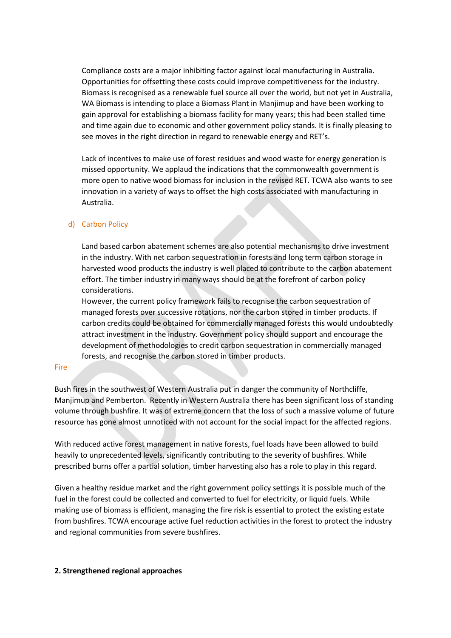Compliance costs are a major inhibiting factor against local manufacturing in Australia. Opportunities for offsetting these costs could improve competitiveness for the industry. Biomass is recognised as a renewable fuel source all over the world, but not yet in Australia, WA Biomass is intending to place a Biomass Plant in Manjimup and have been working to gain approval for establishing a biomass facility for many years; this had been stalled time and time again due to economic and other government policy stands. It is finally pleasing to see moves in the right direction in regard to renewable energy and RET's.

Lack of incentives to make use of forest residues and wood waste for energy generation is missed opportunity. We applaud the indications that the commonwealth government is more open to native wood biomass for inclusion in the revised RET. TCWA also wants to see innovation in a variety of ways to offset the high costs associated with manufacturing in Australia.

#### d) Carbon Policy

Land based carbon abatement schemes are also potential mechanisms to drive investment in the industry. With net carbon sequestration in forests and long term carbon storage in harvested wood products the industry is well placed to contribute to the carbon abatement effort. The timber industry in many ways should be at the forefront of carbon policy considerations.

However, the current policy framework fails to recognise the carbon sequestration of managed forests over successive rotations, nor the carbon stored in timber products. If carbon credits could be obtained for commercially managed forests this would undoubtedly attract investment in the industry. Government policy should support and encourage the development of methodologies to credit carbon sequestration in commercially managed forests, and recognise the carbon stored in timber products.

#### **Fire**

Bush fires in the southwest of Western Australia put in danger the community of Northcliffe, Manjimup and Pemberton. Recently in Western Australia there has been significant loss of standing volume through bushfire. It was of extreme concern that the loss of such a massive volume of future resource has gone almost unnoticed with not account for the social impact for the affected regions.

With reduced active forest management in native forests, fuel loads have been allowed to build heavily to unprecedented levels, significantly contributing to the severity of bushfires. While prescribed burns offer a partial solution, timber harvesting also has a role to play in this regard.

Given a healthy residue market and the right government policy settings it is possible much of the fuel in the forest could be collected and converted to fuel for electricity, or liquid fuels. While making use of biomass is efficient, managing the fire risk is essential to protect the existing estate from bushfires. TCWA encourage active fuel reduction activities in the forest to protect the industry and regional communities from severe bushfires.

#### **2. Strengthened regional approaches**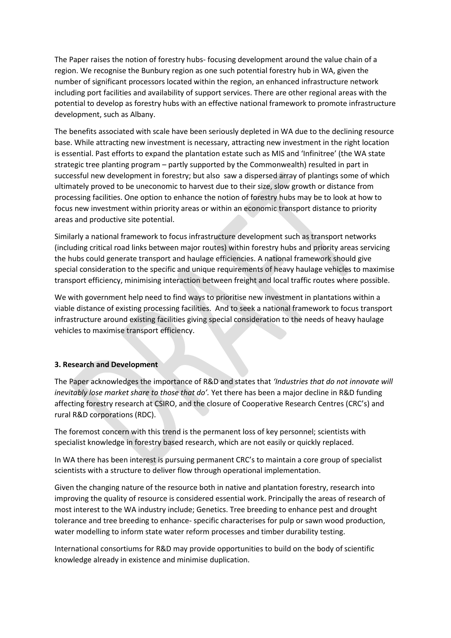The Paper raises the notion of forestry hubs- focusing development around the value chain of a region. We recognise the Bunbury region as one such potential forestry hub in WA, given the number of significant processors located within the region, an enhanced infrastructure network including port facilities and availability of support services. There are other regional areas with the potential to develop as forestry hubs with an effective national framework to promote infrastructure development, such as Albany.

The benefits associated with scale have been seriously depleted in WA due to the declining resource base. While attracting new investment is necessary, attracting new investment in the right location is essential. Past efforts to expand the plantation estate such as MIS and 'Infinitree' (the WA state strategic tree planting program – partly supported by the Commonwealth) resulted in part in successful new development in forestry; but also saw a dispersed array of plantings some of which ultimately proved to be uneconomic to harvest due to their size, slow growth or distance from processing facilities. One option to enhance the notion of forestry hubs may be to look at how to focus new investment within priority areas or within an economic transport distance to priority areas and productive site potential.

Similarly a national framework to focus infrastructure development such as transport networks (including critical road links between major routes) within forestry hubs and priority areas servicing the hubs could generate transport and haulage efficiencies. A national framework should give special consideration to the specific and unique requirements of heavy haulage vehicles to maximise transport efficiency, minimising interaction between freight and local traffic routes where possible.

We with government help need to find ways to prioritise new investment in plantations within a viable distance of existing processing facilities. And to seek a national framework to focus transport infrastructure around existing facilities giving special consideration to the needs of heavy haulage vehicles to maximise transport efficiency.

#### **3. Research and Development**

The Paper acknowledges the importance of R&D and states that *'Industries that do not innovate will inevitably lose market share to those that do'.* Yet there has been a major decline in R&D funding affecting forestry research at CSIRO, and the closure of Cooperative Research Centres (CRC's) and rural R&D corporations (RDC).

The foremost concern with this trend is the permanent loss of key personnel; scientists with specialist knowledge in forestry based research, which are not easily or quickly replaced.

In WA there has been interest is pursuing permanent CRC's to maintain a core group of specialist scientists with a structure to deliver flow through operational implementation.

Given the changing nature of the resource both in native and plantation forestry, research into improving the quality of resource is considered essential work. Principally the areas of research of most interest to the WA industry include; Genetics. Tree breeding to enhance pest and drought tolerance and tree breeding to enhance- specific characterises for pulp or sawn wood production, water modelling to inform state water reform processes and timber durability testing.

International consortiums for R&D may provide opportunities to build on the body of scientific knowledge already in existence and minimise duplication.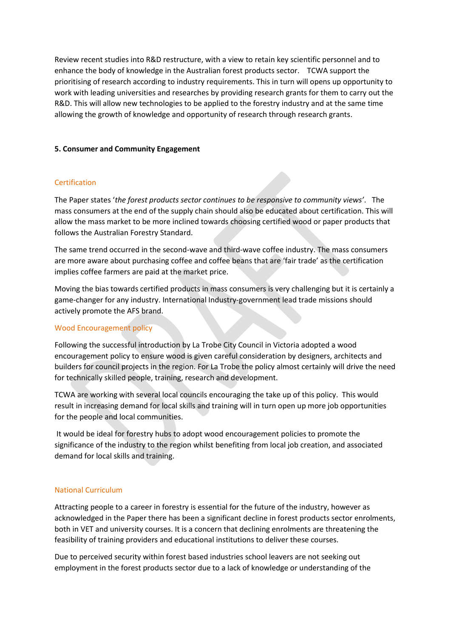Review recent studies into R&D restructure, with a view to retain key scientific personnel and to enhance the body of knowledge in the Australian forest products sector. TCWA support the prioritising of research according to industry requirements. This in turn will opens up opportunity to work with leading universities and researches by providing research grants for them to carry out the R&D. This will allow new technologies to be applied to the forestry industry and at the same time allowing the growth of knowledge and opportunity of research through research grants.

### **5. Consumer and Community Engagement**

## **Certification**

The Paper states '*the forest products sector continues to be responsive to community views'*. The mass consumers at the end of the supply chain should also be educated about certification. This will allow the mass market to be more inclined towards choosing certified wood or paper products that follows the Australian Forestry Standard.

The same trend occurred in the second-wave and third-wave coffee industry. The mass consumers are more aware about purchasing coffee and coffee beans that are 'fair trade' as the certification implies coffee farmers are paid at the market price.

Moving the bias towards certified products in mass consumers is very challenging but it is certainly a game-changer for any industry. International Industry-government lead trade missions should actively promote the AFS brand.

# Wood Encouragement policy

Following the successful introduction by La Trobe City Council in Victoria adopted a wood encouragement policy to ensure wood is given careful consideration by designers, architects and builders for council projects in the region. For La Trobe the policy almost certainly will drive the need for technically skilled people, training, research and development.

TCWA are working with several local councils encouraging the take up of this policy. This would result in increasing demand for local skills and training will in turn open up more job opportunities for the people and local communities.

It would be ideal for forestry hubs to adopt wood encouragement policies to promote the significance of the industry to the region whilst benefiting from local job creation, and associated demand for local skills and training.

#### National Curriculum

Attracting people to a career in forestry is essential for the future of the industry, however as acknowledged in the Paper there has been a significant decline in forest products sector enrolments, both in VET and university courses. It is a concern that declining enrolments are threatening the feasibility of training providers and educational institutions to deliver these courses.

Due to perceived security within forest based industries school leavers are not seeking out employment in the forest products sector due to a lack of knowledge or understanding of the